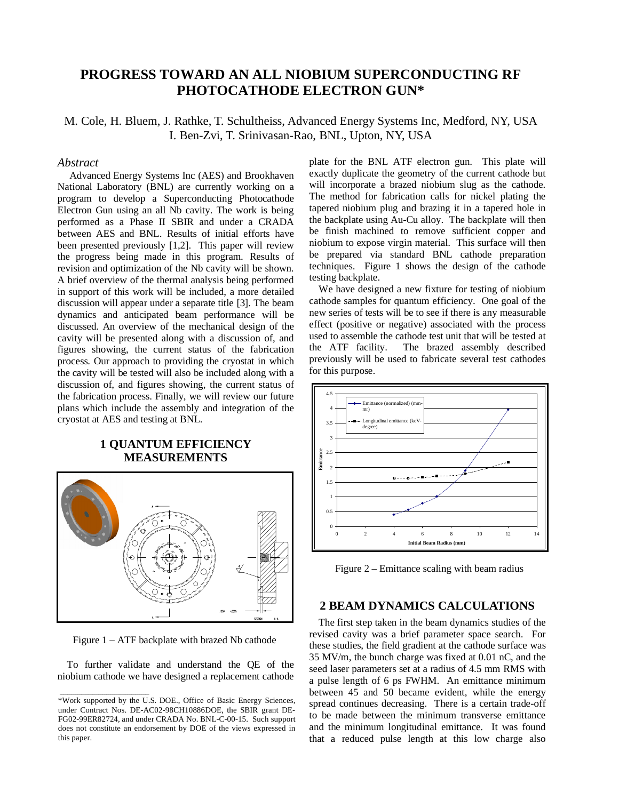## **PROGRESS TOWARD AN ALL NIOBIUM SUPERCONDUCTING RF PHOTOCATHODE ELECTRON GUN\***

M. Cole, H. Bluem, J. Rathke, T. Schultheiss, Advanced Energy Systems Inc, Medford, NY, USA I. Ben-Zvi, T. Srinivasan-Rao, BNL, Upton, NY, USA

#### *Abstract*

 Advanced Energy Systems Inc (AES) and Brookhaven National Laboratory (BNL) are currently working on a program to develop a Superconducting Photocathode Electron Gun using an all Nb cavity. The work is being performed as a Phase II SBIR and under a CRADA between AES and BNL. Results of initial efforts have been presented previously [1,2]. This paper will review the progress being made in this program. Results of revision and optimization of the Nb cavity will be shown. A brief overview of the thermal analysis being performed in support of this work will be included, a more detailed discussion will appear under a separate title [3]. The beam dynamics and anticipated beam performance will be discussed. An overview of the mechanical design of the cavity will be presented along with a discussion of, and figures showing, the current status of the fabrication process. Our approach to providing the cryostat in which the cavity will be tested will also be included along with a discussion of, and figures showing, the current status of the fabrication process. Finally, we will review our future plans which include the assembly and integration of the cryostat at AES and testing at BNL.

#### **1 QUANTUM EFFICIENCY MEASUREMENTS**



Figure 1 – ATF backplate with brazed Nb cathode

To further validate and understand the QE of the niobium cathode we have designed a replacement cathode plate for the BNL ATF electron gun. This plate will exactly duplicate the geometry of the current cathode but will incorporate a brazed niobium slug as the cathode. The method for fabrication calls for nickel plating the tapered niobium plug and brazing it in a tapered hole in the backplate using Au-Cu alloy. The backplate will then be finish machined to remove sufficient copper and niobium to expose virgin material. This surface will then be prepared via standard BNL cathode preparation techniques. Figure 1 shows the design of the cathode testing backplate.

We have designed a new fixture for testing of niobium cathode samples for quantum efficiency. One goal of the new series of tests will be to see if there is any measurable effect (positive or negative) associated with the process used to assemble the cathode test unit that will be tested at the ATF facility. The brazed assembly described previously will be used to fabricate several test cathodes for this purpose.



Figure 2 – Emittance scaling with beam radius

#### **2 BEAM DYNAMICS CALCULATIONS**

The first step taken in the beam dynamics studies of the revised cavity was a brief parameter space search. For these studies, the field gradient at the cathode surface was 35 MV/m, the bunch charge was fixed at 0.01 nC, and the seed laser parameters set at a radius of 4.5 mm RMS with a pulse length of 6 ps FWHM. An emittance minimum between 45 and 50 became evident, while the energy spread continues decreasing. There is a certain trade-off to be made between the minimum transverse emittance and the minimum longitudinal emittance. It was found that a reduced pulse length at this low charge also

<sup>\*</sup>Work supported by the U.S. DOE., Office of Basic Energy Sciences, under Contract Nos. DE-AC02-98CH10886DOE, the SBIR grant DE-FG02-99ER82724, and under CRADA No. BNL-C-00-15. Such support does not constitute an endorsement by DOE of the views expressed in this paper.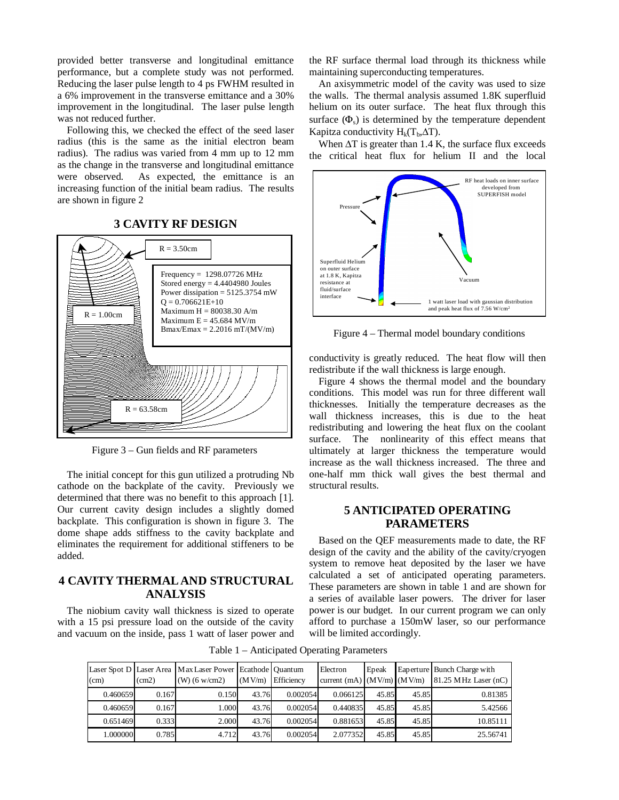provided better transverse and longitudinal emittance performance, but a complete study was not performed. Reducing the laser pulse length to 4 ps FWHM resulted in a 6% improvement in the transverse emittance and a 30% improvement in the longitudinal. The laser pulse length was not reduced further.

Following this, we checked the effect of the seed laser radius (this is the same as the initial electron beam radius). The radius was varied from 4 mm up to 12 mm as the change in the transverse and longitudinal emittance were observed. As expected, the emittance is an increasing function of the initial beam radius. The results are shown in figure 2

**3 CAVITY RF DESIGN**

# $R = 3.50cm$ Frequency = 1298.07726 MHz Stored energy = 4.4404980 Joules



Figure 3 – Gun fields and RF parameters

The initial concept for this gun utilized a protruding Nb cathode on the backplate of the cavity. Previously we determined that there was no benefit to this approach [1]. Our current cavity design includes a slightly domed backplate. This configuration is shown in figure 3. The dome shape adds stiffness to the cavity backplate and eliminates the requirement for additional stiffeners to be added.

### **4 CAVITY THERMAL AND STRUCTURAL ANALYSIS**

The niobium cavity wall thickness is sized to operate with a 15 psi pressure load on the outside of the cavity and vacuum on the inside, pass 1 watt of laser power and the RF surface thermal load through its thickness while maintaining superconducting temperatures.

An axisymmetric model of the cavity was used to size the walls. The thermal analysis assumed 1.8K superfluid helium on its outer surface. The heat flux through this surface  $(\Phi_s)$  is determined by the temperature dependent Kapitza conductivity  $H_k(T_b, \Delta T)$ .

When  $\Delta T$  is greater than 1.4 K, the surface flux exceeds the critical heat flux for helium II and the local



Figure 4 – Thermal model boundary conditions

conductivity is greatly reduced. The heat flow will then redistribute if the wall thickness is large enough.

Figure 4 shows the thermal model and the boundary conditions. This model was run for three different wall thicknesses. Initially the temperature decreases as the wall thickness increases, this is due to the heat redistributing and lowering the heat flux on the coolant surface. The nonlinearity of this effect means that ultimately at larger thickness the temperature would increase as the wall thickness increased. The three and one-half mm thick wall gives the best thermal and structural results.

#### **5 ANTICIPATED OPERATING PARAMETERS**

Based on the QEF measurements made to date, the RF design of the cavity and the ability of the cavity/cryogen system to remove heat deposited by the laser we have calculated a set of anticipated operating parameters. These parameters are shown in table 1 and are shown for a series of available laser powers. The driver for laser power is our budget. In our current program we can only afford to purchase a 150mW laser, so our performance will be limited accordingly.

Table 1 – Anticipated Operating Parameters

| (cm)     | (cm2) | Laser Spot D Laser Area Max Laser Power Ecathode Quantum<br>$(W)$ (6 w/cm2) | (MV/m) | Efficiency | Electron<br>current (mA) $(MV/m)$ $(MV/m)$ | Epeak |       | Eaperture Bunch Charge with<br>81.25 MHz Laser (nC) |
|----------|-------|-----------------------------------------------------------------------------|--------|------------|--------------------------------------------|-------|-------|-----------------------------------------------------|
| 0.460659 | 0.167 | 0.150                                                                       | 43.76  | 0.002054   | 0.066125                                   | 45.85 | 45.85 | 0.81385                                             |
| 0.460659 | 0.167 | 1.000                                                                       | 43.76  | 0.002054   | 0.440835                                   | 45.85 | 45.85 | 5.42566                                             |
| 0.651469 | 0.333 | 2.000                                                                       | 43.76  | 0.002054   | 0.881653                                   | 45.85 | 45.85 | 10.85111                                            |
| 1.000000 | 0.785 | 4.712                                                                       | 43.76  | 0.002054   | 2.077352                                   | 45.85 | 45.85 | 25.56741                                            |